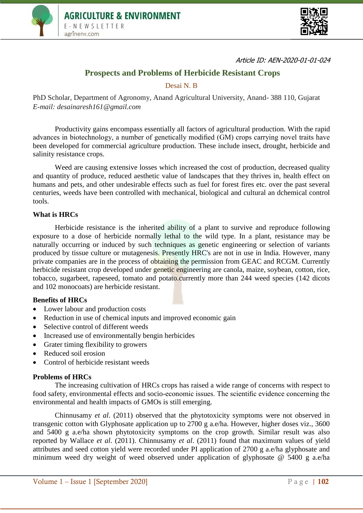



Article ID: AEN-2020-01-01-024

# **Prospects and Problems of Herbicide Resistant Crops**

Desai N. B

PhD Scholar, Department of Agronomy, Anand Agricultural University, Anand- 388 110*,* Gujarat *E-mail: desainaresh161@gmail.com*

Productivity gains encompass essentially all factors of agricultural production. With the rapid advances in biotechnology, a number of genetically modified (GM) crops carrying novel traits have been developed for commercial agriculture production. These include insect, drought, herbicide and salinity resistance crops.

Weed are causing extensive losses which increased the cost of production, decreased quality and quantity of produce, reduced aesthetic value of landscapes that they thrives in, health effect on humans and pets, and other undesirable effects such as fuel for forest fires etc. over the past several centuries, weeds have been controlled with mechanical, biological and cultural an dchemical control tools.

### **What is HRCs**

Herbicide resistance is the inherited ability of a plant to survive and reproduce following exposure to a dose of herbicide normally lethal to the wild type. In a plant, resistance may be naturally occurring or induced by such techniques as genetic engineering or selection of variants produced by tissue culture or mutagenesis. Presently HRC's are not in use in India. However, many private companies are in the process of obtaining the permission from GEAC and RCGM. Currently herbicide resistant crop developed under genetic engineering are canola, maize, soybean, cotton, rice, tobacco, sugarbeet, rapeseed, tomato and potato.currently more than 244 weed species (142 dicots and 102 monocoats) are herbicide resistant.

## **Benefits of HRCs**

- Lower labour and production costs
- Reduction in use of chemical inputs and improved economic gain
- Selective control of different weeds
- Increased use of environmentally bengin herbicides
- Grater timing flexibility to growers
- Reduced soil erosion
- Control of herbicide resistant weeds

#### **Problems of HRCs**

The increasing cultivation of HRCs crops has raised a wide range of concerns with respect to food safety, environmental effects and socio-economic issues. The scientific evidence concerning the environmental and health impacts of GMOs is still emerging.

Chinnusamy *et al*. (2011) observed that the phytotoxicity symptoms were not observed in transgenic cotton with Glyphosate application up to 2700 g a.e/ha. However, higher doses viz., 3600 and 5400 g a.e/ha shown phytotoxicity symptoms on the crop growth. Similar result was also reported by Wallace *et al*. (2011). Chinnusamy *et al*. (2011) found that maximum values of yield attributes and seed cotton yield were recorded under PI application of 2700 g a.e/ha glyphosate and minimum weed dry weight of weed observed under application of glyphosate @ 5400 g a.e/ha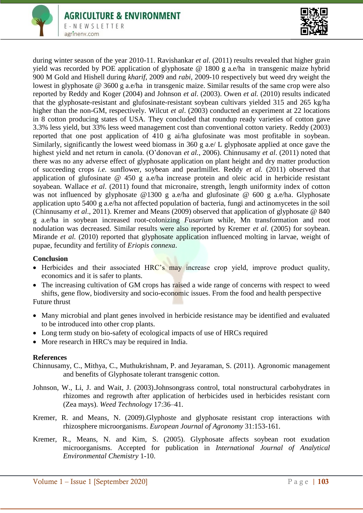

during winter season of the year 2010-11. Ravishankar *et al*. (2011) results revealed that higher grain yield was recorded by POE application of glyphosate @ 1800 g a.e/ha in transgenic maize hybrid 900 M Gold and Hishell during *kharif*, 2009 and *rabi*, 2009-10 respectively but weed dry weight the lowest in glyphosate @ 3600 g a.e/ha in transgenic maize. Similar results of the same crop were also reported by Reddy and Koger (2004) and Johnson *et al*. (2003). Owen *et al.* (2010) results indicated that the glyphosate-resistant and glufosinate-resistant soybean cultivars yielded 315 and 265 kg/ha higher than the non-GM, respectively. Wilcut *et al*. (2003) conducted an experiment at 22 locations in 8 cotton producing states of USA. They concluded that roundup ready varieties of cotton gave 3.3% less yield, but 33% less weed management cost than conventional cotton variety. Reddy (2003) reported that one post application of 410 g ai/ha glufosinate was most profitable in soybean. Similarly, significantly the lowest weed biomass in 360 g a.e/ L glyphosate applied at once gave the highest yield and net return in canola. (O'donovan *et al.*, 2006). Chinnusamy *et al*. (2011) noted that there was no any adverse effect of glyphosate application on plant height and dry matter production of succeeding crops *i.e.* sunflower, soybean and pearlmillet. Reddy *et al.* (2011) observed that application of glufosinate @ 450 g a.e/ha increase protein and oleic acid in herbicide resistant soyabean. Wallace *et al*. (2011) found that micronaire, strength, length uniformity index of cotton was not influenced by glyphosate @1300 g a.e/ha and glufosinate @ 600 g a.e/ha. Glyphosate application upto 5400 g a.e/ha not affected population of bacteria, fungi and actinomycetes in the soil (Chinnusamy *et al*., 2011). Kremer and Means (2009) observed that application of glyphosate @ 840 g a.e/ha in soybean increased root-colonizing *Fusarium* while, Mn transformation and root nodulation was decreased. Similar results were also reported by Kremer *et al.* (2005) for soybean. Mirande *et al.* (2010) reported that glyphosate application influenced molting in larvae, weight of pupae, fecundity and fertility of *Eriopis connexa*.

## **Conclusion**

- Herbicides and their associated HRC's may increase crop yield, improve product quality, economics and it is safer to plants.
- The increasing cultivation of GM crops has raised a wide range of concerns with respect to weed shifts, gene flow, biodiversity and socio-economic issues. From the food and health perspective Future thrust

- Many microbial and plant genes involved in herbicide resistance may be identified and evaluated to be introduced into other crop plants.
- Long term study on bio-safety of ecological impacts of use of HRCs required
- More research in HRC's may be required in India.

## **References**

Chinnusamy, C., Mithya, C., Muthukrishnam, P. and Jeyaraman, S. (2011). Agronomic management and benefits of Glyphosate tolerant transgenic cotton.

- Johnson, W., Li, J. and Wait, J. (2003).Johnsongrass control, total nonstructural carbohydrates in rhizomes and regrowth after application of herbicides used in herbicides resistant corn (Zea mays). *Weed Technology* 17:36–41.
- Kremer, R. and Means, N. (2009).Glyphoste and glyphosate resistant crop interactions with rhizosphere microorganisms. *European Journal of Agronomy* 31:153-161.
- Kremer, R., Means, N. and Kim, S. (2005). Glyphosate affects soybean root exudation microorganisms. Accepted for publication in *International Journal of Analytical Environmental Chemistry* 1-10.